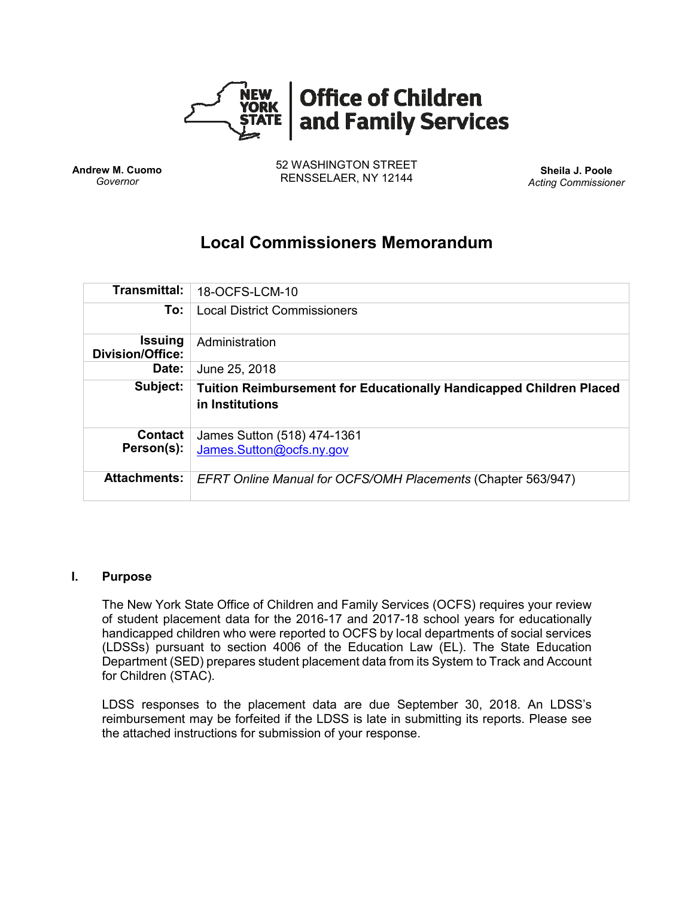

**Andrew M. Cuomo** *Governor*

52 WASHINGTON STREET RENSSELAER, NY 12144 **Sheila J. Poole**

*Acting Commissioner*

# **Local Commissioners Memorandum**

| Transmittal:                              | 18-OCFS-LCM-10                                                                                |
|-------------------------------------------|-----------------------------------------------------------------------------------------------|
| To:                                       | <b>Local District Commissioners</b>                                                           |
| <b>Issuing</b><br><b>Division/Office:</b> | Administration                                                                                |
| Date:                                     | June 25, 2018                                                                                 |
| Subject:                                  | <b>Tuition Reimbursement for Educationally Handicapped Children Placed</b><br>in Institutions |
| <b>Contact</b><br>Person(s):              | James Sutton (518) 474-1361<br>James.Sutton@ocfs.ny.gov                                       |
| <b>Attachments:</b>                       | <b>EFRT Online Manual for OCFS/OMH Placements (Chapter 563/947)</b>                           |

### **I. Purpose**

The New York State Office of Children and Family Services (OCFS) requires your review of student placement data for the 2016-17 and 2017-18 school years for educationally handicapped children who were reported to OCFS by local departments of social services (LDSSs) pursuant to section 4006 of the Education Law (EL). The State Education Department (SED) prepares student placement data from its System to Track and Account for Children (STAC).

LDSS responses to the placement data are due September 30, 2018. An LDSS's reimbursement may be forfeited if the LDSS is late in submitting its reports. Please see the attached instructions for submission of your response.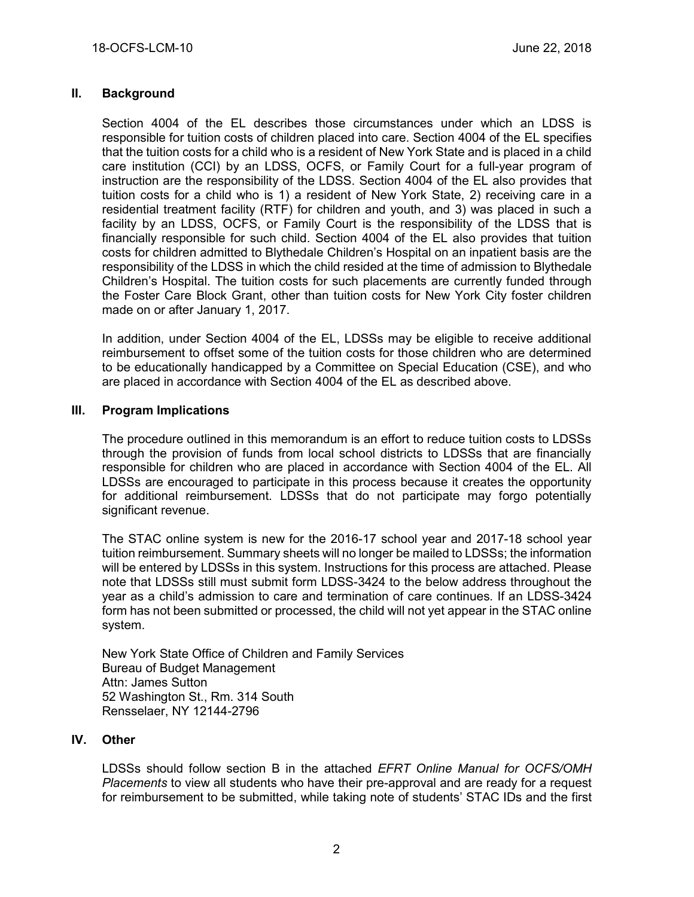## **II. Background**

Section 4004 of the EL describes those circumstances under which an LDSS is responsible for tuition costs of children placed into care. Section 4004 of the EL specifies that the tuition costs for a child who is a resident of New York State and is placed in a child care institution (CCI) by an LDSS, OCFS, or Family Court for a full-year program of instruction are the responsibility of the LDSS. Section 4004 of the EL also provides that tuition costs for a child who is 1) a resident of New York State, 2) receiving care in a residential treatment facility (RTF) for children and youth, and 3) was placed in such a facility by an LDSS, OCFS, or Family Court is the responsibility of the LDSS that is financially responsible for such child. Section 4004 of the EL also provides that tuition costs for children admitted to Blythedale Children's Hospital on an inpatient basis are the responsibility of the LDSS in which the child resided at the time of admission to Blythedale Children's Hospital. The tuition costs for such placements are currently funded through the Foster Care Block Grant, other than tuition costs for New York City foster children made on or after January 1, 2017.

In addition, under Section 4004 of the EL, LDSSs may be eligible to receive additional reimbursement to offset some of the tuition costs for those children who are determined to be educationally handicapped by a Committee on Special Education (CSE), and who are placed in accordance with Section 4004 of the EL as described above.

#### **III. Program Implications**

The procedure outlined in this memorandum is an effort to reduce tuition costs to LDSSs through the provision of funds from local school districts to LDSSs that are financially responsible for children who are placed in accordance with Section 4004 of the EL. All LDSSs are encouraged to participate in this process because it creates the opportunity for additional reimbursement. LDSSs that do not participate may forgo potentially significant revenue.

The STAC online system is new for the 2016-17 school year and 2017-18 school year tuition reimbursement. Summary sheets will no longer be mailed to LDSSs; the information will be entered by LDSSs in this system. Instructions for this process are attached. Please note that LDSSs still must submit form LDSS-3424 to the below address throughout the year as a child's admission to care and termination of care continues. If an LDSS-3424 form has not been submitted or processed, the child will not yet appear in the STAC online system.

New York State Office of Children and Family Services Bureau of Budget Management Attn: James Sutton 52 Washington St., Rm. 314 South Rensselaer, NY 12144-2796

#### **IV. Other**

LDSSs should follow section B in the attached *EFRT Online Manual for OCFS/OMH Placements* to view all students who have their pre-approval and are ready for a request for reimbursement to be submitted, while taking note of students' STAC IDs and the first